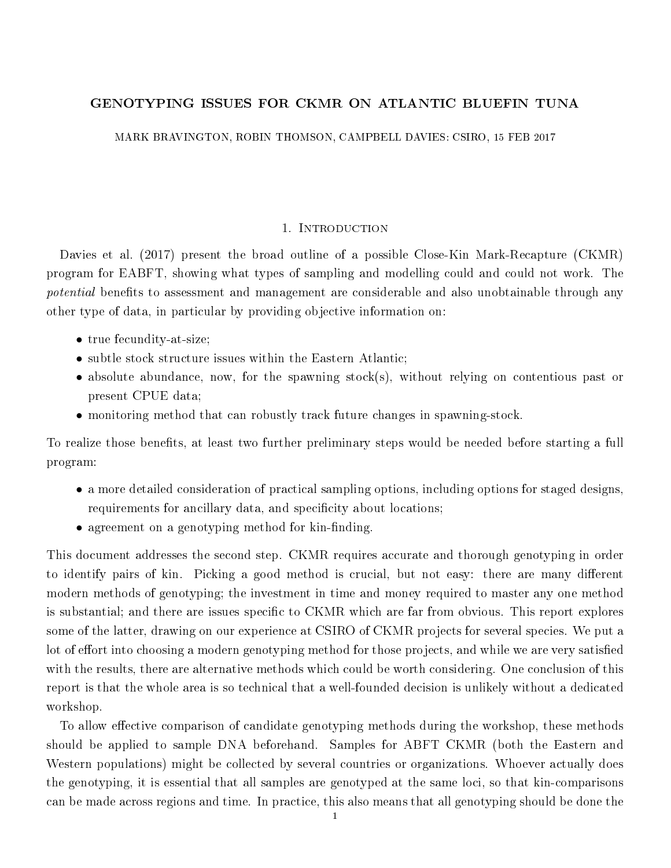# GENOTYPING ISSUES FOR CKMR ON ATLANTIC BLUEFIN TUNA

MARK BRAVINGTON, ROBIN THOMSON, CAMPBELL DAVIES: CSIRO, 15 FEB 2017

### 1. INTRODUCTION

Davies et al. (2017) present the broad outline of a possible Close-Kin Mark-Recapture (CKMR) program for EABFT, showing what types of sampling and modelling could and could not work. The potential benefits to assessment and management are considerable and also unobtainable through any other type of data, in particular by providing objective information on:

- true fecundity-at-size;
- subtle stock structure issues within the Eastern Atlantic;
- absolute abundance, now, for the spawning stock(s), without relying on contentious past or present CPUE data;
- monitoring method that can robustly track future changes in spawning-stock.

To realize those benets, at least two further preliminary steps would be needed before starting a full program:

- a more detailed consideration of practical sampling options, including options for staged designs, requirements for ancillary data, and specificity about locations;
- agreement on a genotyping method for kin-finding.

This document addresses the second step. CKMR requires accurate and thorough genotyping in order to identify pairs of kin. Picking a good method is crucial, but not easy: there are many different modern methods of genotyping; the investment in time and money required to master any one method is substantial; and there are issues specific to CKMR which are far from obvious. This report explores some of the latter, drawing on our experience at CSIRO of CKMR projects for several species. We put a lot of effort into choosing a modern genotyping method for those projects, and while we are very satisfied with the results, there are alternative methods which could be worth considering. One conclusion of this report is that the whole area is so technical that a well-founded decision is unlikely without a dedicated workshop.

To allow effective comparison of candidate genotyping methods during the workshop, these methods should be applied to sample DNA beforehand. Samples for ABFT CKMR (both the Eastern and Western populations) might be collected by several countries or organizations. Whoever actually does the genotyping, it is essential that all samples are genotyped at the same loci, so that kin-comparisons can be made across regions and time. In practice, this also means that all genotyping should be done the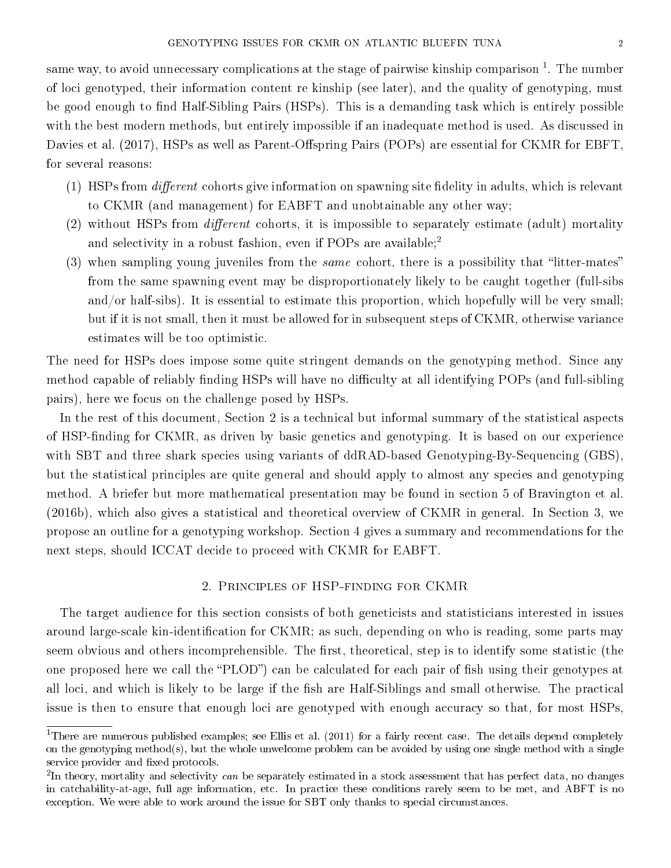same way, to avoid unnecessary complications at the stage of pairwise kinship comparison  $^{\rm 1}.$  The number of loci genotyped, their information content re kinship (see later), and the quality of genotyping, must be good enough to find Half-Sibling Pairs (HSPs). This is a demanding task which is entirely possible with the best modern methods, but entirely impossible if an inadequate method is used. As discussed in Davies et al. (2017), HSPs as well as Parent-Offspring Pairs (POPs) are essential for CKMR for EBFT, for several reasons:

- (1) HSPs from  $differential$  cohorts give information on spawning site fidelity in adults, which is relevant to CKMR (and management) for EABFT and unobtainable any other way;
- $(2)$  without HSPs from *different* cohorts, it is impossible to separately estimate (adult) mortality and selectivity in a robust fashion, even if POPs are available;<sup>2</sup>
- (3) when sampling young juveniles from the *same* cohort, there is a possibility that "litter-mates" from the same spawning event may be disproportionately likely to be caught together (full-sibs and/or half-sibs). It is essential to estimate this proportion, which hopefully will be very small; but if it is not small, then it must be allowed for in subsequent steps of CKMR, otherwise variance estimates will be too optimistic.

The need for HSPs does impose some quite stringent demands on the genotyping method. Since any method capable of reliably finding HSPs will have no difficulty at all identifying POPs (and full-sibling pairs), here we focus on the challenge posed by HSPs.

In the rest of this document, Section 2 is a technical but informal summary of the statistical aspects of HSP-finding for CKMR, as driven by basic genetics and genotyping. It is based on our experience with SBT and three shark species using variants of ddRAD-based Genotyping-By-Sequencing (GBS), but the statistical principles are quite general and should apply to almost any species and genotyping method. A briefer but more mathematical presentation may be found in section 5 of Bravington et al. (2016b), which also gives a statistical and theoretical overview of CKMR in general. In Section 3, we propose an outline for a genotyping workshop. Section 4 gives a summary and recommendations for the next steps, should ICCAT decide to proceed with CKMR for EABFT.

## 2. Principles of HSP-finding for CKMR

The target audience for this section consists of both geneticists and statisticians interested in issues around large-scale kin-identification for CKMR; as such, depending on who is reading, some parts may seem obvious and others incomprehensible. The first, theoretical, step is to identify some statistic (the one proposed here we call the "PLOD") can be calculated for each pair of fish using their genotypes at all loci, and which is likely to be large if the fish are Half-Siblings and small otherwise. The practical issue is then to ensure that enough loci are genotyped with enough accuracy so that, for most HSPs,

<sup>&</sup>lt;sup>1</sup>There are numerous published examples; see Ellis et al. (2011) for a fairly recent case. The details depend completely on the genotyping method(s), but the whole unwelcome problem can be avoided by using one single method with a single service provider and fixed protocols.

 $^{2}$ In theory, mortality and selectivity *can* be separately estimated in a stock assessment that has perfect data, no changes in catchability-at-age, full age information, etc. In practice these conditions rarely seem to be met, and ABFT is no exception. We were able to work around the issue for SBT only thanks to special circumstances.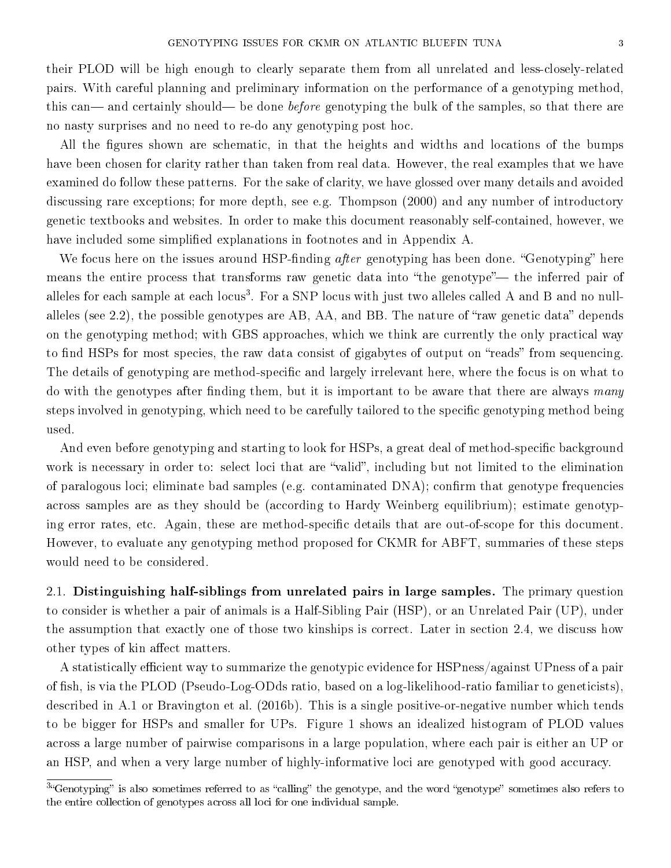their PLOD will be high enough to clearly separate them from all unrelated and less-closely-related pairs. With careful planning and preliminary information on the performance of a genotyping method, this can— and certainly should— be done *before* genotyping the bulk of the samples, so that there are no nasty surprises and no need to re-do any genotyping post hoc.

All the figures shown are schematic, in that the heights and widths and locations of the bumps have been chosen for clarity rather than taken from real data. However, the real examples that we have examined do follow these patterns. For the sake of clarity, we have glossed over many details and avoided discussing rare exceptions; for more depth, see e.g. Thompson (2000) and any number of introductory genetic textbooks and websites. In order to make this document reasonably self-contained, however, we have included some simplified explanations in footnotes and in Appendix A.

We focus here on the issues around HSP-finding *after* genotyping has been done. "Genotyping" here means the entire process that transforms raw genetic data into "the genotype"— the inferred pair of alleles for each sample at each locus $^3$ . For a SNP locus with just two alleles called A and B and no nullalleles (see 2.2), the possible genotypes are AB, AA, and BB. The nature of "raw genetic data" depends on the genotyping method; with GBS approaches, which we think are currently the only practical way to find HSPs for most species, the raw data consist of gigabytes of output on "reads" from sequencing. The details of genotyping are method-specific and largely irrelevant here, where the focus is on what to do with the genotypes after finding them, but it is important to be aware that there are always many steps involved in genotyping, which need to be carefully tailored to the specific genotyping method being used.

And even before genotyping and starting to look for HSPs, a great deal of method-specific background work is necessary in order to: select loci that are "valid", including but not limited to the elimination of paralogous loci; eliminate bad samples (e.g. contaminated  $DNA$ ); confirm that genotype frequencies across samples are as they should be (according to Hardy Weinberg equilibrium); estimate genotyping error rates, etc. Again, these are method-specific details that are out-of-scope for this document. However, to evaluate any genotyping method proposed for CKMR for ABFT, summaries of these steps would need to be considered.

2.1. Distinguishing half-siblings from unrelated pairs in large samples. The primary question to consider is whether a pair of animals is a Half-Sibling Pair (HSP), or an Unrelated Pair (UP), under the assumption that exactly one of those two kinships is correct. Later in section 2.4, we discuss how other types of kin affect matters.

A statistically efficient way to summarize the genotypic evidence for HSPness/against UPness of a pair of fish, is via the PLOD (Pseudo-Log-ODds ratio, based on a log-likelihood-ratio familiar to geneticists), described in A.1 or Bravington et al. (2016b). This is a single positive-or-negative number which tends to be bigger for HSPs and smaller for UPs. Figure 1 shows an idealized histogram of PLOD values across a large number of pairwise comparisons in a large population, where each pair is either an UP or an HSP, and when a very large number of highly-informative loci are genotyped with good accuracy.

 $34$ Genotyping" is also sometimes referred to as "calling" the genotype, and the word "genotype" sometimes also refers to the entire collection of genotypes across all loci for one individual sample.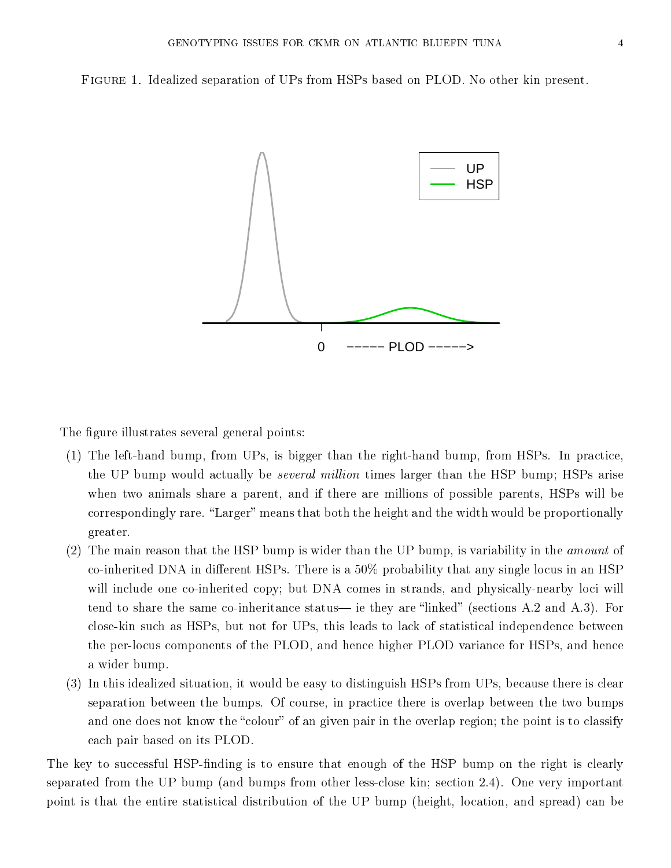Figure 1. Idealized separation of UPs from HSPs based on PLOD. No other kin present.



The figure illustrates several general points:

- (1) The left-hand bump, from UPs, is bigger than the right-hand bump, from HSPs. In practice, the UP bump would actually be several million times larger than the HSP bump; HSPs arise when two animals share a parent, and if there are millions of possible parents, HSPs will be correspondingly rare. "Larger" means that both the height and the width would be proportionally greater.
- (2) The main reason that the HSP bump is wider than the UP bump, is variability in the amount of co-inherited DNA in different HSPs. There is a  $50\%$  probability that any single locus in an HSP will include one co-inherited copy; but DNA comes in strands, and physically-nearby loci will tend to share the same co-inheritance status— ie they are "linked" (sections A.2 and A.3). For close-kin such as HSPs, but not for UPs, this leads to lack of statistical independence between the per-locus components of the PLOD, and hence higher PLOD variance for HSPs, and hence a wider bump.
- (3) In this idealized situation, it would be easy to distinguish HSPs from UPs, because there is clear separation between the bumps. Of course, in practice there is overlap between the two bumps and one does not know the "colour" of an given pair in the overlap region; the point is to classify each pair based on its PLOD.

The key to successful HSP-finding is to ensure that enough of the HSP bump on the right is clearly separated from the UP bump (and bumps from other less-close kin; section 2.4). One very important point is that the entire statistical distribution of the UP bump (height, location, and spread) can be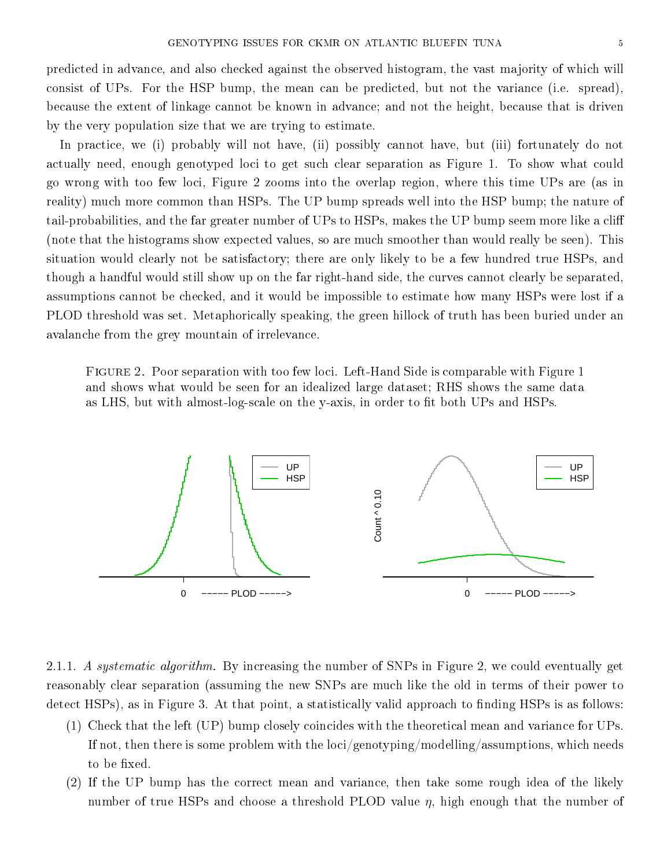predicted in advance, and also checked against the observed histogram, the vast majority of which will consist of UPs. For the HSP bump, the mean can be predicted, but not the variance (i.e. spread), because the extent of linkage cannot be known in advance; and not the height, because that is driven by the very population size that we are trying to estimate.

In practice, we (i) probably will not have, (ii) possibly cannot have, but (iii) fortunately do not actually need, enough genotyped loci to get such clear separation as Figure 1. To show what could go wrong with too few loci, Figure 2 zooms into the overlap region, where this time UPs are (as in reality) much more common than HSPs. The UP bump spreads well into the HSP bump; the nature of tail-probabilities, and the far greater number of UPs to HSPs, makes the UP bump seem more like a cli (note that the histograms show expected values, so are much smoother than would really be seen). This situation would clearly not be satisfactory; there are only likely to be a few hundred true HSPs, and though a handful would still show up on the far right-hand side, the curves cannot clearly be separated, assumptions cannot be checked, and it would be impossible to estimate how many HSPs were lost if a PLOD threshold was set. Metaphorically speaking, the green hillock of truth has been buried under an avalanche from the grey mountain of irrelevance.

Figure 2. Poor separation with too few loci. Left-Hand Side is comparable with Figure 1 and shows what would be seen for an idealized large dataset; RHS shows the same data as LHS, but with almost-log-scale on the y-axis, in order to fit both UPs and HSPs.



2.1.1. A systematic algorithm. By increasing the number of SNPs in Figure 2, we could eventually get reasonably clear separation (assuming the new SNPs are much like the old in terms of their power to detect HSPs), as in Figure 3. At that point, a statistically valid approach to finding HSPs is as follows:

- (1) Check that the left (UP) bump closely coincides with the theoretical mean and variance for UPs. If not, then there is some problem with the loci/genotyping/modelling/assumptions, which needs to be fixed.
- (2) If the UP bump has the correct mean and variance, then take some rough idea of the likely number of true HSPs and choose a threshold PLOD value  $\eta$ , high enough that the number of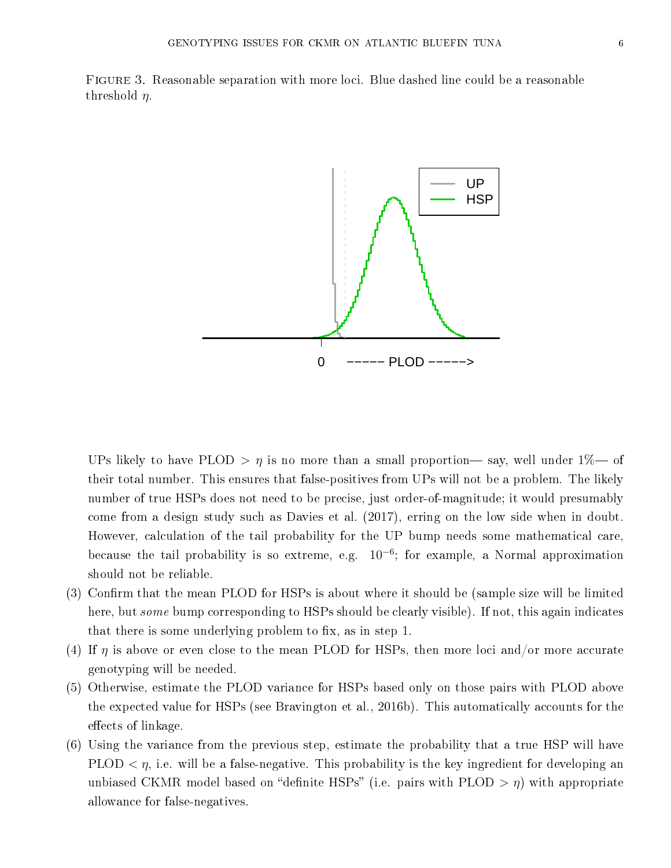Figure 3. Reasonable separation with more loci. Blue dashed line could be a reasonable threshold  $\eta$ .



UPs likely to have PLOD  $> \eta$  is no more than a small proportion— say, well under 1\%— of their total number. This ensures that false-positives from UPs will not be a problem. The likely number of true HSPs does not need to be precise, just order-of-magnitude; it would presumably come from a design study such as Davies et al. (2017), erring on the low side when in doubt. However, calculation of the tail probability for the UP bump needs some mathematical care, because the tail probability is so extreme, e.g.  $10^{-6}$ ; for example, a Normal approximation should not be reliable.

- (3) Confirm that the mean PLOD for HSPs is about where it should be (sample size will be limited here, but some bump corresponding to HSPs should be clearly visible). If not, this again indicates that there is some underlying problem to fix, as in step 1.
- (4) If  $\eta$  is above or even close to the mean PLOD for HSPs, then more loci and/or more accurate genotyping will be needed.
- (5) Otherwise, estimate the PLOD variance for HSPs based only on those pairs with PLOD above the expected value for HSPs (see Bravington et al., 2016b). This automatically accounts for the effects of linkage.
- (6) Using the variance from the previous step, estimate the probability that a true HSP will have PLOD  $\langle \eta$ , i.e. will be a false-negative. This probability is the key ingredient for developing an unbiased CKMR model based on "definite HSPs" (i.e. pairs with PLOD  $> \eta$ ) with appropriate allowance for false-negatives.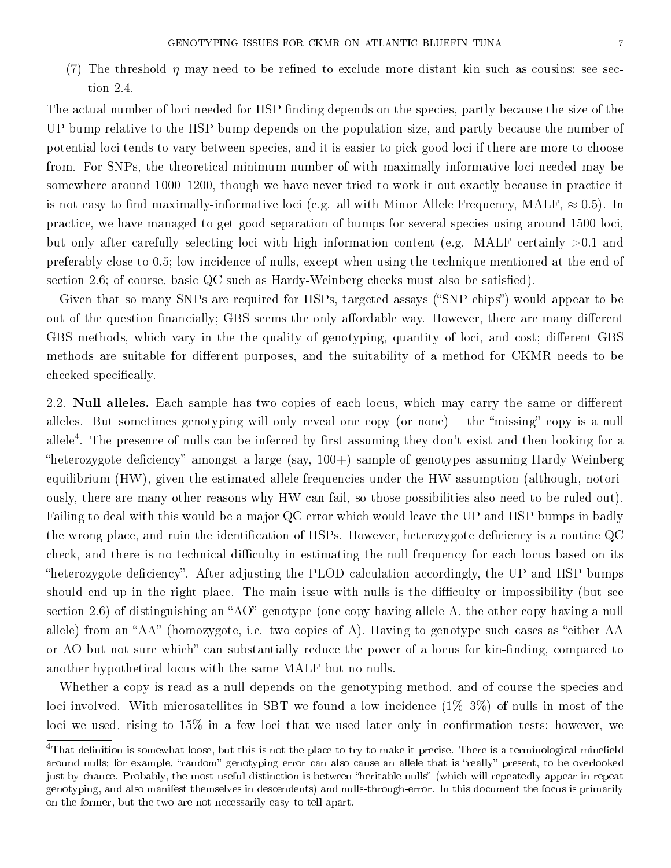(7) The threshold  $\eta$  may need to be refined to exclude more distant kin such as cousins; see section 2.4.

The actual number of loci needed for HSP-finding depends on the species, partly because the size of the UP bump relative to the HSP bump depends on the population size, and partly because the number of potential loci tends to vary between species, and it is easier to pick good loci if there are more to choose from. For SNPs, the theoretical minimum number of with maximally-informative loci needed may be somewhere around 1000-1200, though we have never tried to work it out exactly because in practice it is not easy to find maximally-informative loci (e.g. all with Minor Allele Frequency, MALF,  $\approx 0.5$ ). In practice, we have managed to get good separation of bumps for several species using around 1500 loci, but only after carefully selecting loci with high information content (e.g. MALF certainly  $>0.1$  and preferably close to 0.5; low incidence of nulls, except when using the technique mentioned at the end of section 2.6; of course, basic  $QC$  such as Hardy-Weinberg checks must also be satisfied).

Given that so many SNPs are required for HSPs, targeted assays ("SNP chips") would appear to be out of the question financially; GBS seems the only affordable way. However, there are many different GBS methods, which vary in the the quality of genotyping, quantity of loci, and cost; different GBS methods are suitable for different purposes, and the suitability of a method for CKMR needs to be checked specifically.

2.2. **Null alleles.** Each sample has two copies of each locus, which may carry the same or different alleles. But sometimes genotyping will only reveal one copy (or none)— the "missing" copy is a null allele<sup>4</sup>. The presence of nulls can be inferred by first assuming they don't exist and then looking for a "heterozygote deficiency" amongst a large (say,  $100+)$  sample of genotypes assuming Hardy-Weinberg equilibrium (HW), given the estimated allele frequencies under the HW assumption (although, notoriously, there are many other reasons why HW can fail, so those possibilities also need to be ruled out). Failing to deal with this would be a major QC error which would leave the UP and HSP bumps in badly the wrong place, and ruin the identification of HSPs. However, heterozygote deficiency is a routine QC check, and there is no technical difficulty in estimating the null frequency for each locus based on its "heterozygote deficiency". After adjusting the PLOD calculation accordingly, the UP and HSP bumps should end up in the right place. The main issue with nulls is the difficulty or impossibility (but see section 2.6) of distinguishing an "AO" genotype (one copy having allele A, the other copy having a null allele) from an "AA" (homozygote, i.e. two copies of A). Having to genotype such cases as "either AA or AO but not sure which" can substantially reduce the power of a locus for kin-finding, compared to another hypothetical locus with the same MALF but no nulls.

Whether a copy is read as a null depends on the genotyping method, and of course the species and loci involved. With microsatellites in SBT we found a low incidence  $(1\%-3\%)$  of nulls in most of the loci we used, rising to  $15\%$  in a few loci that we used later only in confirmation tests; however, we

 $4$ That definition is somewhat loose, but this is not the place to try to make it precise. There is a terminological minefield around nulls; for example, "random" genotyping error can also cause an allele that is "really" present, to be overlooked just by chance. Probably, the most useful distinction is between "heritable nulls" (which will repeatedly appear in repeat genotyping, and also manifest themselves in descendents) and nulls-through-error. In this document the focus is primarily on the former, but the two are not necessarily easy to tell apart.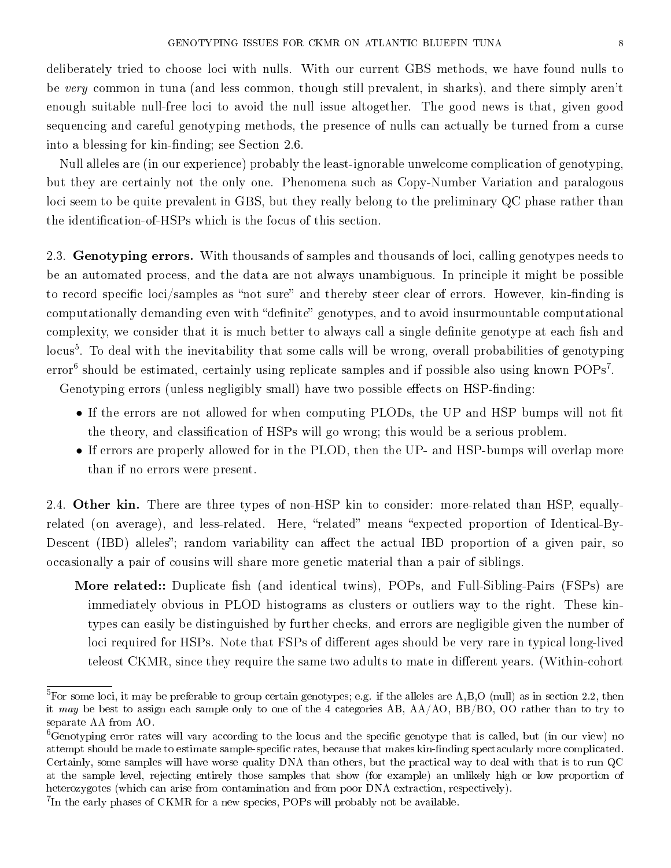deliberately tried to choose loci with nulls. With our current GBS methods, we have found nulls to be very common in tuna (and less common, though still prevalent, in sharks), and there simply aren't enough suitable null-free loci to avoid the null issue altogether. The good news is that, given good sequencing and careful genotyping methods, the presence of nulls can actually be turned from a curse into a blessing for kin-finding; see Section  $2.6$ .

Null alleles are (in our experience) probably the least-ignorable unwelcome complication of genotyping, but they are certainly not the only one. Phenomena such as Copy-Number Variation and paralogous loci seem to be quite prevalent in GBS, but they really belong to the preliminary QC phase rather than the identification-of-HSPs which is the focus of this section.

2.3. Genotyping errors. With thousands of samples and thousands of loci, calling genotypes needs to be an automated process, and the data are not always unambiguous. In principle it might be possible to record specific loci/samples as "not sure" and thereby steer clear of errors. However, kin-finding is computationally demanding even with "definite" genotypes, and to avoid insurmountable computational complexity, we consider that it is much better to always call a single definite genotype at each fish and locus<sup>5</sup>. To deal with the inevitability that some calls will be wrong, overall probabilities of genotyping  $\text{error}^6$  should be estimated, certainly using replicate samples and if possible also using known  $\text{POPs}^7$ .

Genotyping errors (unless negligibly small) have two possible effects on HSP-finding:

- If the errors are not allowed for when computing PLODs, the UP and HSP bumps will not fit the theory, and classification of HSPs will go wrong; this would be a serious problem.
- If errors are properly allowed for in the PLOD, then the UP- and HSP-bumps will overlap more than if no errors were present.

2.4. Other kin. There are three types of non-HSP kin to consider: more-related than HSP, equallyrelated (on average), and less-related. Here, "related" means "expected proportion of Identical-By-Descent (IBD) alleles"; random variability can affect the actual IBD proportion of a given pair, so occasionally a pair of cousins will share more genetic material than a pair of siblings.

More related:: Duplicate fish (and identical twins), POPs, and Full-Sibling-Pairs (FSPs) are immediately obvious in PLOD histograms as clusters or outliers way to the right. These kintypes can easily be distinguished by further checks, and errors are negligible given the number of loci required for HSPs. Note that FSPs of different ages should be very rare in typical long-lived teleost CKMR, since they require the same two adults to mate in different years. (Within-cohort

<sup>&</sup>lt;sup>5</sup>For some loci, it may be preferable to group certain genotypes; e.g. if the alleles are A,B,O (null) as in section 2.2, then it may be best to assign each sample only to one of the 4 categories AB, AA/AO, BB/BO, OO rather than to try to separate AA from AO.

 ${}^6$ Genotyping error rates will vary according to the locus and the specific genotype that is called, but (in our view) no attempt should be made to estimate sample-specific rates, because that makes kin-finding spectacularly more complicated. Certainly, some samples will have worse quality DNA than others, but the practical way to deal with that is to run QC at the sample level, rejecting entirely those samples that show (for example) an unlikely high or low proportion of heterozygotes (which can arise from contamination and from poor DNA extraction, respectively).

<sup>&</sup>lt;sup>7</sup>In the early phases of CKMR for a new species, POPs will probably not be available.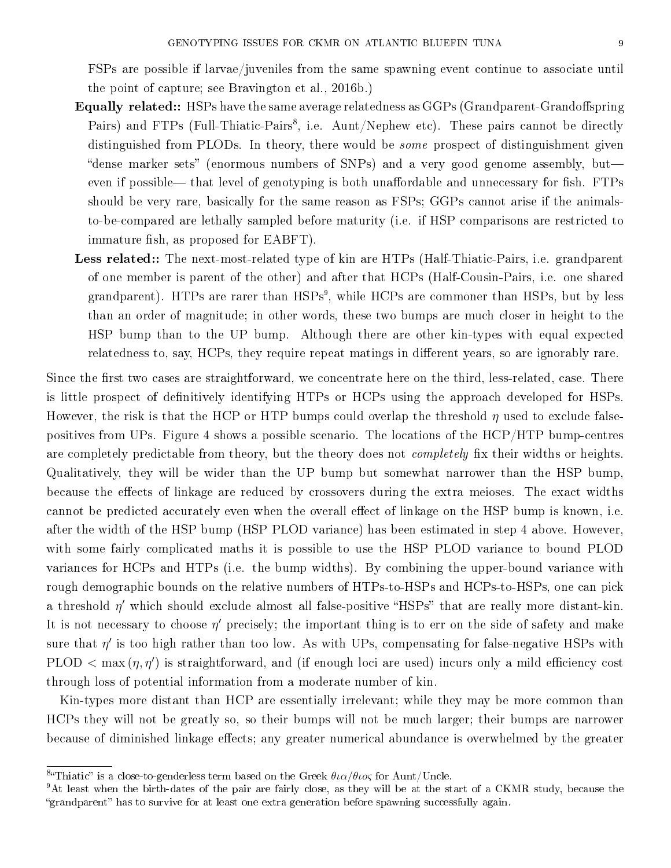FSPs are possible if larvae/juveniles from the same spawning event continue to associate until the point of capture; see Bravington et al., 2016b.)

- **Equally related::** HSPs have the same average relatedness as GGPs (Grandparent-Grandoffspring Pairs) and FTPs (Full-Thiatic-Pairs<sup>8</sup>, i.e. Aunt/Nephew etc). These pairs cannot be directly distinguished from PLODs. In theory, there would be some prospect of distinguishment given "dense marker sets" (enormous numbers of SNPs) and a very good genome assembly, but even if possible— that level of genotyping is both unaffordable and unnecessary for fish. FTPs should be very rare, basically for the same reason as FSPs; GGPs cannot arise if the animalsto-be-compared are lethally sampled before maturity (i.e. if HSP comparisons are restricted to immature fish, as proposed for EABFT).
- Less related:: The next-most-related type of kin are HTPs (Half-Thiatic-Pairs, i.e. grandparent of one member is parent of the other) and after that HCPs (Half-Cousin-Pairs, i.e. one shared grandparent). HTPs are rarer than HSPs<sup>9</sup>, while HCPs are commoner than HSPs, but by less than an order of magnitude; in other words, these two bumps are much closer in height to the HSP bump than to the UP bump. Although there are other kin-types with equal expected relatedness to, say, HCPs, they require repeat matings in different years, so are ignorably rare.

Since the first two cases are straightforward, we concentrate here on the third, less-related, case. There is little prospect of definitively identifying HTPs or HCPs using the approach developed for HSPs. However, the risk is that the HCP or HTP bumps could overlap the threshold  $\eta$  used to exclude falsepositives from UPs. Figure 4 shows a possible scenario. The locations of the HCP/HTP bump-centres are completely predictable from theory, but the theory does not *completely* fix their widths or heights. Qualitatively, they will be wider than the UP bump but somewhat narrower than the HSP bump, because the effects of linkage are reduced by crossovers during the extra meioses. The exact widths cannot be predicted accurately even when the overall effect of linkage on the HSP bump is known, i.e. after the width of the HSP bump (HSP PLOD variance) has been estimated in step 4 above. However, with some fairly complicated maths it is possible to use the HSP PLOD variance to bound PLOD variances for HCPs and HTPs (i.e. the bump widths). By combining the upper-bound variance with rough demographic bounds on the relative numbers of HTPs-to-HSPs and HCPs-to-HSPs, one can pick a threshold  $\eta'$  which should exclude almost all false-positive "HSPs" that are really more distant-kin. It is not necessary to choose  $\eta'$  precisely; the important thing is to err on the side of safety and make sure that  $\eta'$  is too high rather than too low. As with UPs, compensating for false-negative HSPs with PLOD  $<$  max  $(\eta, \eta')$  is straightforward, and (if enough loci are used) incurs only a mild efficiency cost through loss of potential information from a moderate number of kin.

Kin-types more distant than HCP are essentially irrelevant; while they may be more common than HCPs they will not be greatly so, so their bumps will not be much larger; their bumps are narrower because of diminished linkage effects; any greater numerical abundance is overwhelmed by the greater

<sup>&</sup>lt;sup>8</sup> Thiatic" is a close-to-genderless term based on the Greek  $\theta \iota \alpha / \theta \iota o \varsigma$  for Aunt/Uncle.

<sup>&</sup>lt;sup>9</sup>At least when the birth-dates of the pair are fairly close, as they will be at the start of a CKMR study, because the "grandparent" has to survive for at least one extra generation before spawning successfully again.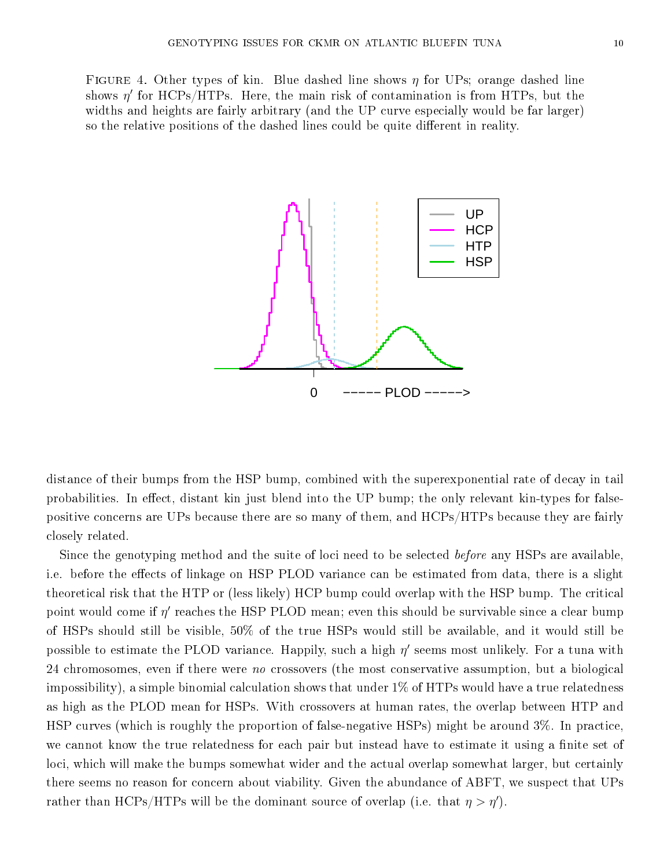FIGURE 4. Other types of kin. Blue dashed line shows  $\eta$  for UPs; orange dashed line shows  $\eta'$  for HCPs/HTPs. Here, the main risk of contamination is from HTPs, but the widths and heights are fairly arbitrary (and the UP curve especially would be far larger) so the relative positions of the dashed lines could be quite different in reality.



distance of their bumps from the HSP bump, combined with the superexponential rate of decay in tail probabilities. In effect, distant kin just blend into the UP bump; the only relevant kin-types for falsepositive concerns are UPs because there are so many of them, and HCPs/HTPs because they are fairly closely related.

Since the genotyping method and the suite of loci need to be selected *before* any HSPs are available, i.e. before the effects of linkage on HSP PLOD variance can be estimated from data, there is a slight theoretical risk that the HTP or (less likely) HCP bump could overlap with the HSP bump. The critical point would come if  $\eta'$  reaches the HSP PLOD mean; even this should be survivable since a clear bump of HSPs should still be visible, 50% of the true HSPs would still be available, and it would still be possible to estimate the PLOD variance. Happily, such a high  $\eta'$  seems most unlikely. For a tuna with 24 chromosomes, even if there were no crossovers (the most conservative assumption, but a biological impossibility), a simple binomial calculation shows that under 1% of HTPs would have a true relatedness as high as the PLOD mean for HSPs. With crossovers at human rates, the overlap between HTP and HSP curves (which is roughly the proportion of false-negative HSPs) might be around 3%. In practice, we cannot know the true relatedness for each pair but instead have to estimate it using a finite set of loci, which will make the bumps somewhat wider and the actual overlap somewhat larger, but certainly there seems no reason for concern about viability. Given the abundance of ABFT, we suspect that UPs rather than HCPs/HTPs will be the dominant source of overlap (i.e. that  $\eta > \eta'$ ).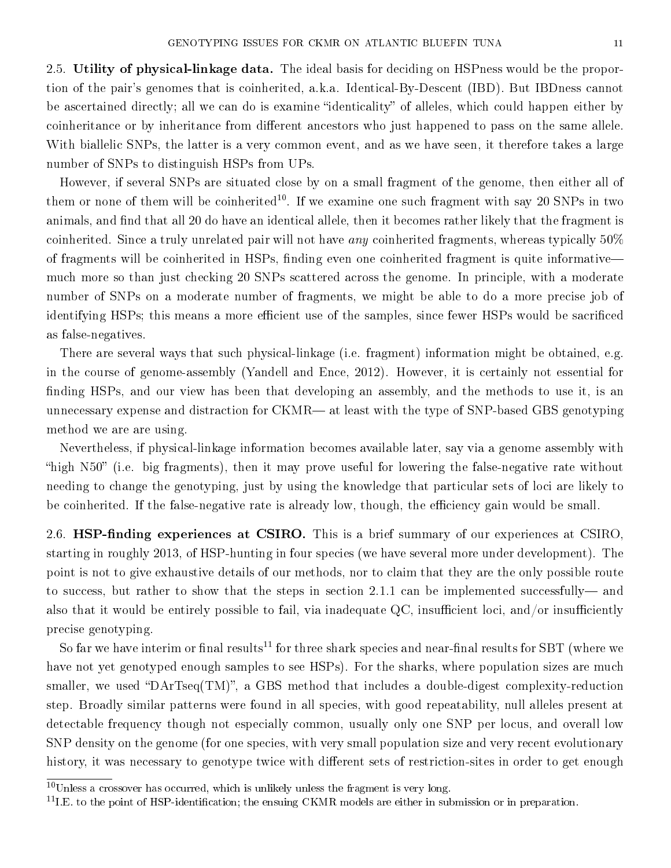2.5. Utility of physical-linkage data. The ideal basis for deciding on HSPness would be the proportion of the pair's genomes that is coinherited, a.k.a. Identical-By-Descent (IBD). But IBDness cannot be ascertained directly; all we can do is examine "identicality" of alleles, which could happen either by coinheritance or by inheritance from different ancestors who just happened to pass on the same allele. With biallelic SNPs, the latter is a very common event, and as we have seen, it therefore takes a large number of SNPs to distinguish HSPs from UPs.

However, if several SNPs are situated close by on a small fragment of the genome, then either all of them or none of them will be coinherited<sup>10</sup>. If we examine one such fragment with say 20 SNPs in two animals, and find that all 20 do have an identical allele, then it becomes rather likely that the fragment is coinherited. Since a truly unrelated pair will not have *any* coinherited fragments, whereas typically  $50\%$ of fragments will be coinherited in HSPs, finding even one coinherited fragment is quite informative much more so than just checking 20 SNPs scattered across the genome. In principle, with a moderate number of SNPs on a moderate number of fragments, we might be able to do a more precise job of identifying HSPs; this means a more efficient use of the samples, since fewer HSPs would be sacrificed as false-negatives.

There are several ways that such physical-linkage (i.e. fragment) information might be obtained, e.g. in the course of genome-assembly (Yandell and Ence, 2012). However, it is certainly not essential for finding HSPs, and our view has been that developing an assembly, and the methods to use it, is an unnecessary expense and distraction for CKMR— at least with the type of SNP-based GBS genotyping method we are are using.

Nevertheless, if physical-linkage information becomes available later, say via a genome assembly with "high N50" (i.e. big fragments), then it may prove useful for lowering the false-negative rate without needing to change the genotyping, just by using the knowledge that particular sets of loci are likely to be coinherited. If the false-negative rate is already low, though, the efficiency gain would be small.

2.6. HSP-finding experiences at CSIRO. This is a brief summary of our experiences at CSIRO, starting in roughly 2013, of HSP-hunting in four species (we have several more under development). The point is not to give exhaustive details of our methods, nor to claim that they are the only possible route to success, but rather to show that the steps in section 2.1.1 can be implemented successfully—and also that it would be entirely possible to fail, via inadequate QC, insufficient loci, and/or insufficiently precise genotyping.

So far we have interim or final results<sup>11</sup> for three shark species and near-final results for SBT (where we have not yet genotyped enough samples to see HSPs). For the sharks, where population sizes are much smaller, we used "DArTseq $(TM)$ ", a GBS method that includes a double-digest complexity-reduction step. Broadly similar patterns were found in all species, with good repeatability, null alleles present at detectable frequency though not especially common, usually only one SNP per locus, and overall low SNP density on the genome (for one species, with very small population size and very recent evolutionary history, it was necessary to genotype twice with different sets of restriction-sites in order to get enough

 $10$ Unless a crossover has occurred, which is unlikely unless the fragment is very long.

 $11$ I.E. to the point of HSP-identification; the ensuing CKMR models are either in submission or in preparation.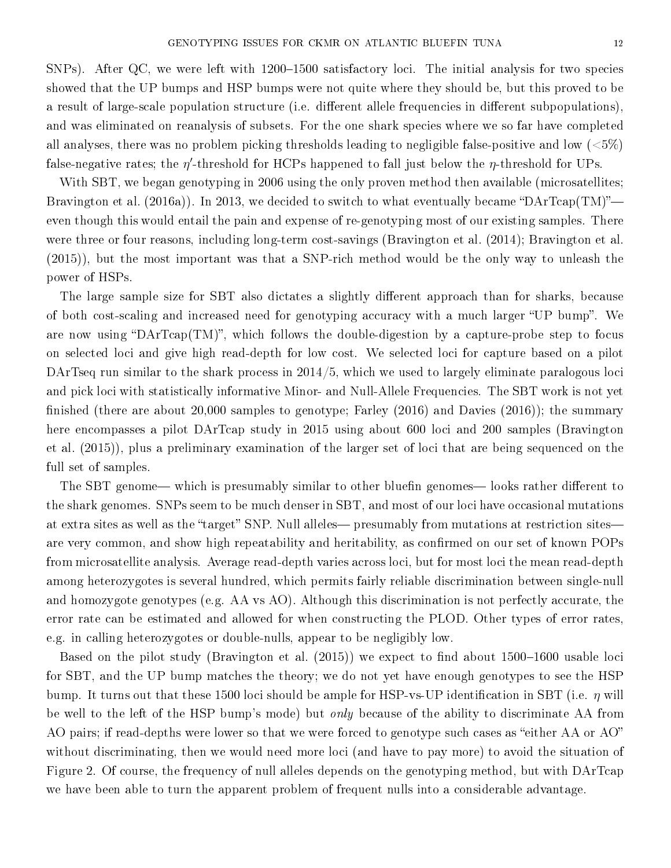SNPs). After QC, we were left with  $1200-1500$  satisfactory loci. The initial analysis for two species showed that the UP bumps and HSP bumps were not quite where they should be, but this proved to be a result of large-scale population structure (i.e. different allele frequencies in different subpopulations), and was eliminated on reanalysis of subsets. For the one shark species where we so far have completed all analyses, there was no problem picking thresholds leading to negligible false-positive and low ( ${<}5\%$ ) false-negative rates; the  $\eta'$ -threshold for HCPs happened to fall just below the  $\eta$ -threshold for UPs.

With SBT, we began genotyping in 2006 using the only proven method then available (microsatellites; Bravington et al. (2016a)). In 2013, we decided to switch to what eventually became "DArTcap(TM)" even though this would entail the pain and expense of re-genotyping most of our existing samples. There were three or four reasons, including long-term cost-savings (Bravington et al. (2014); Bravington et al. (2015)), but the most important was that a SNP-rich method would be the only way to unleash the power of HSPs.

The large sample size for SBT also dictates a slightly different approach than for sharks, because of both cost-scaling and increased need for genotyping accuracy with a much larger "UP bump". We are now using "DArTcap(TM)", which follows the double-digestion by a capture-probe step to focus on selected loci and give high read-depth for low cost. We selected loci for capture based on a pilot DArTseq run similar to the shark process in 2014/5, which we used to largely eliminate paralogous loci and pick loci with statistically informative Minor- and Null-Allele Frequencies. The SBT work is not yet finished (there are about  $20,000$  samples to genotype; Farley  $(2016)$  and Davies  $(2016)$ ); the summary here encompasses a pilot DArTcap study in 2015 using about 600 loci and 200 samples (Bravington et al. (2015)), plus a preliminary examination of the larger set of loci that are being sequenced on the full set of samples.

The SBT genome— which is presumably similar to other bluefin genomes— looks rather different to the shark genomes. SNPs seem to be much denser in SBT, and most of our loci have occasional mutations at extra sites as well as the "target" SNP. Null alleles— presumably from mutations at restriction sites are very common, and show high repeatability and heritability, as confirmed on our set of known POPs from microsatellite analysis. Average read-depth varies across loci, but for most loci the mean read-depth among heterozygotes is several hundred, which permits fairly reliable discrimination between single-null and homozygote genotypes (e.g. AA vs AO). Although this discrimination is not perfectly accurate, the error rate can be estimated and allowed for when constructing the PLOD. Other types of error rates, e.g. in calling heterozygotes or double-nulls, appear to be negligibly low.

Based on the pilot study (Bravington et al.  $(2015)$ ) we expect to find about 1500–1600 usable loci for SBT, and the UP bump matches the theory; we do not yet have enough genotypes to see the HSP bump. It turns out that these 1500 loci should be ample for HSP-vs-UP identification in SBT (i.e.  $\eta$  will be well to the left of the HSP bump's mode) but *only* because of the ability to discriminate AA from AO pairs; if read-depths were lower so that we were forced to genotype such cases as "either AA or AO" without discriminating, then we would need more loci (and have to pay more) to avoid the situation of Figure 2. Of course, the frequency of null alleles depends on the genotyping method, but with DArTcap we have been able to turn the apparent problem of frequent nulls into a considerable advantage.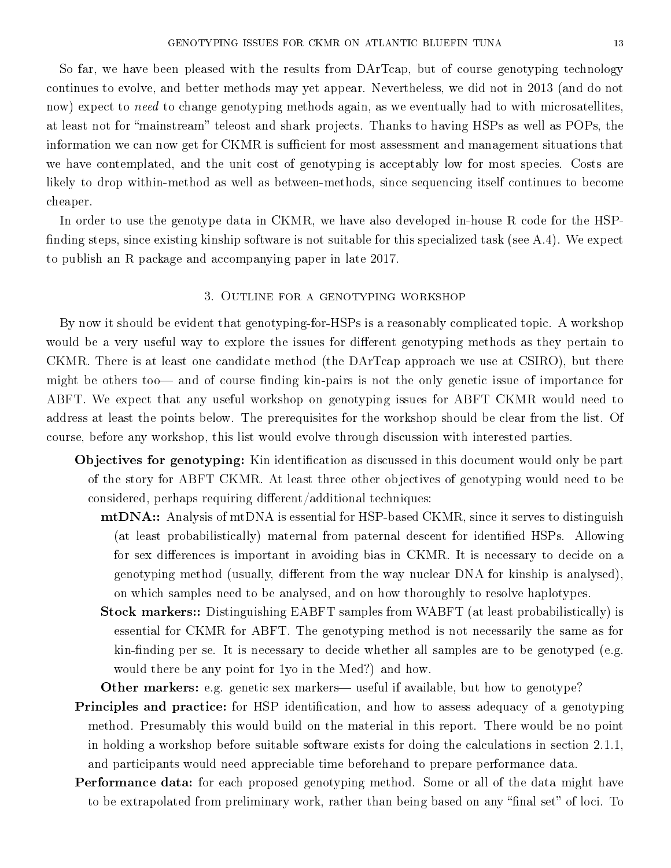So far, we have been pleased with the results from DArTcap, but of course genotyping technology continues to evolve, and better methods may yet appear. Nevertheless, we did not in 2013 (and do not now) expect to need to change genotyping methods again, as we eventually had to with microsatellites, at least not for "mainstream" teleost and shark projects. Thanks to having HSPs as well as POPs, the information we can now get for CKMR is sufficient for most assessment and management situations that we have contemplated, and the unit cost of genotyping is acceptably low for most species. Costs are likely to drop within-method as well as between-methods, since sequencing itself continues to become cheaper.

In order to use the genotype data in CKMR, we have also developed in-house R code for the HSP finding steps, since existing kinship software is not suitable for this specialized task (see  $A.4$ ). We expect to publish an R package and accompanying paper in late 2017.

### 3. Outline for a genotyping workshop

By now it should be evident that genotyping-for-HSPs is a reasonably complicated topic. A workshop would be a very useful way to explore the issues for different genotyping methods as they pertain to CKMR. There is at least one candidate method (the DArTcap approach we use at CSIRO), but there might be others too and of course finding kin-pairs is not the only genetic issue of importance for ABFT. We expect that any useful workshop on genotyping issues for ABFT CKMR would need to address at least the points below. The prerequisites for the workshop should be clear from the list. Of course, before any workshop, this list would evolve through discussion with interested parties.

- Objectives for genotyping: Kin identification as discussed in this document would only be part of the story for ABFT CKMR. At least three other objectives of genotyping would need to be considered, perhaps requiring different/additional techniques:
	- mtDNA:: Analysis of mtDNA is essential for HSP-based CKMR, since it serves to distinguish (at least probabilistically) maternal from paternal descent for identified HSPs. Allowing for sex differences is important in avoiding bias in CKMR. It is necessary to decide on a genotyping method (usually, different from the way nuclear DNA for kinship is analysed), on which samples need to be analysed, and on how thoroughly to resolve haplotypes.
	- Stock markers:: Distinguishing EABFT samples from WABFT (at least probabilistically) is essential for CKMR for ABFT. The genotyping method is not necessarily the same as for  $kin-finding per se. It is necessary to decide whether all samples are to be genotyped (e.g.$ would there be any point for 1yo in the Med?) and how.

Other markers: e.g. genetic sex markers— useful if available, but how to genotype?

- **Principles and practice:** for HSP identification, and how to assess adequacy of a genotyping method. Presumably this would build on the material in this report. There would be no point in holding a workshop before suitable software exists for doing the calculations in section 2.1.1, and participants would need appreciable time beforehand to prepare performance data.
- Performance data: for each proposed genotyping method. Some or all of the data might have to be extrapolated from preliminary work, rather than being based on any "final set" of loci. To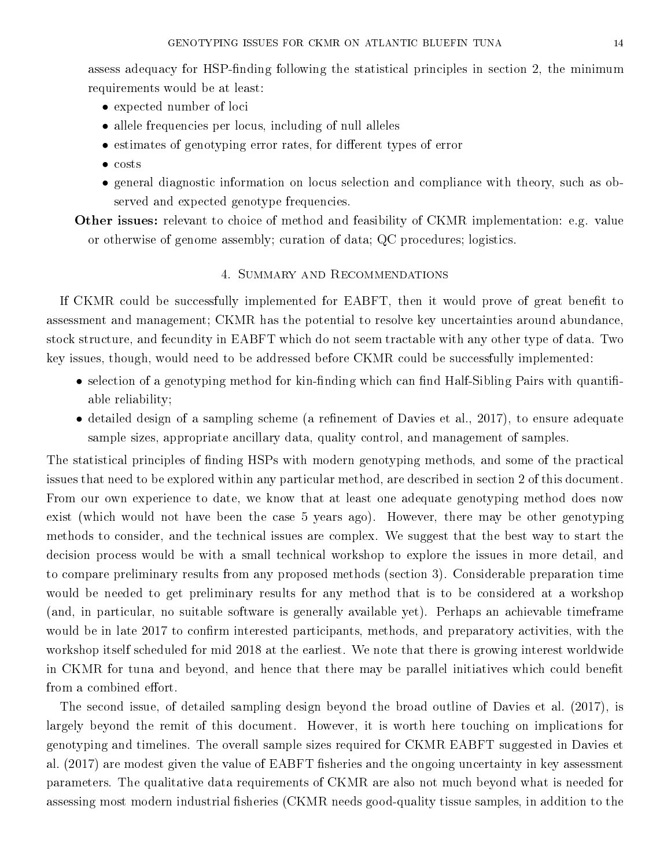assess adequacy for HSP-finding following the statistical principles in section 2, the minimum requirements would be at least:

- expected number of loci
- allele frequencies per locus, including of null alleles
- $\bullet$  estimates of genotyping error rates, for different types of error
- costs
- general diagnostic information on locus selection and compliance with theory, such as observed and expected genotype frequencies.

Other issues: relevant to choice of method and feasibility of CKMR implementation: e.g. value or otherwise of genome assembly; curation of data; QC procedures; logistics.

### 4. Summary and Recommendations

If CKMR could be successfully implemented for EABFT, then it would prove of great benefit to assessment and management; CKMR has the potential to resolve key uncertainties around abundance, stock structure, and fecundity in EABFT which do not seem tractable with any other type of data. Two key issues, though, would need to be addressed before CKMR could be successfully implemented:

- selection of a genotyping method for kin-finding which can find Half-Sibling Pairs with quantifiable reliability;
- detailed design of a sampling scheme (a refinement of Davies et al., 2017), to ensure adequate sample sizes, appropriate ancillary data, quality control, and management of samples.

The statistical principles of finding HSPs with modern genotyping methods, and some of the practical issues that need to be explored within any particular method, are described in section 2 of this document. From our own experience to date, we know that at least one adequate genotyping method does now exist (which would not have been the case 5 years ago). However, there may be other genotyping methods to consider, and the technical issues are complex. We suggest that the best way to start the decision process would be with a small technical workshop to explore the issues in more detail, and to compare preliminary results from any proposed methods (section 3). Considerable preparation time would be needed to get preliminary results for any method that is to be considered at a workshop (and, in particular, no suitable software is generally available yet). Perhaps an achievable timeframe would be in late 2017 to confirm interested participants, methods, and preparatory activities, with the workshop itself scheduled for mid 2018 at the earliest. We note that there is growing interest worldwide in CKMR for tuna and beyond, and hence that there may be parallel initiatives which could benefit from a combined effort.

The second issue, of detailed sampling design beyond the broad outline of Davies et al. (2017), is largely beyond the remit of this document. However, it is worth here touching on implications for genotyping and timelines. The overall sample sizes required for CKMR EABFT suggested in Davies et al. (2017) are modest given the value of EABFT fisheries and the ongoing uncertainty in key assessment parameters. The qualitative data requirements of CKMR are also not much beyond what is needed for assessing most modern industrial fisheries (CKMR needs good-quality tissue samples, in addition to the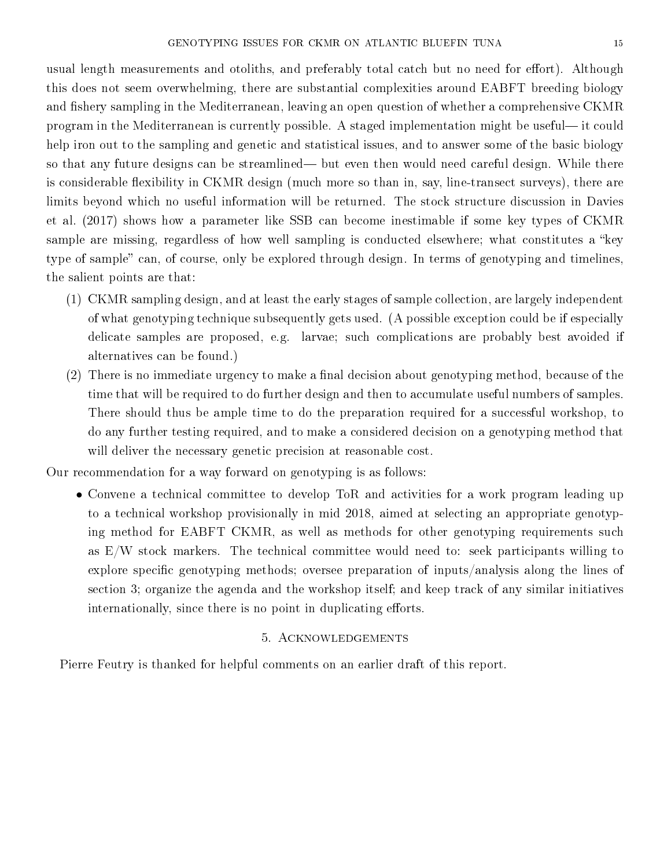usual length measurements and otoliths, and preferably total catch but no need for effort). Although this does not seem overwhelming, there are substantial complexities around EABFT breeding biology and fishery sampling in the Mediterranean, leaving an open question of whether a comprehensive CKMR program in the Mediterranean is currently possible. A staged implementation might be useful—it could help iron out to the sampling and genetic and statistical issues, and to answer some of the basic biology so that any future designs can be streamlined— but even then would need careful design. While there is considerable flexibility in CKMR design (much more so than in, say, line-transect surveys), there are limits beyond which no useful information will be returned. The stock structure discussion in Davies et al. (2017) shows how a parameter like SSB can become inestimable if some key types of CKMR sample are missing, regardless of how well sampling is conducted elsewhere; what constitutes a "key type of sample" can, of course, only be explored through design. In terms of genotyping and timelines, the salient points are that:

- (1) CKMR sampling design, and at least the early stages of sample collection, are largely independent of what genotyping technique subsequently gets used. (A possible exception could be if especially delicate samples are proposed, e.g. larvae; such complications are probably best avoided if alternatives can be found.)
- $(2)$  There is no immediate urgency to make a final decision about genotyping method, because of the time that will be required to do further design and then to accumulate useful numbers of samples. There should thus be ample time to do the preparation required for a successful workshop, to do any further testing required, and to make a considered decision on a genotyping method that will deliver the necessary genetic precision at reasonable cost.

Our recommendation for a way forward on genotyping is as follows:

• Convene a technical committee to develop ToR and activities for a work program leading up to a technical workshop provisionally in mid 2018, aimed at selecting an appropriate genotyping method for EABFT CKMR, as well as methods for other genotyping requirements such as  $E/W$  stock markers. The technical committee would need to: seek participants willing to explore specific genotyping methods; oversee preparation of inputs/analysis along the lines of section 3; organize the agenda and the workshop itself; and keep track of any similar initiatives internationally, since there is no point in duplicating efforts.

### 5. Acknowledgements

Pierre Feutry is thanked for helpful comments on an earlier draft of this report.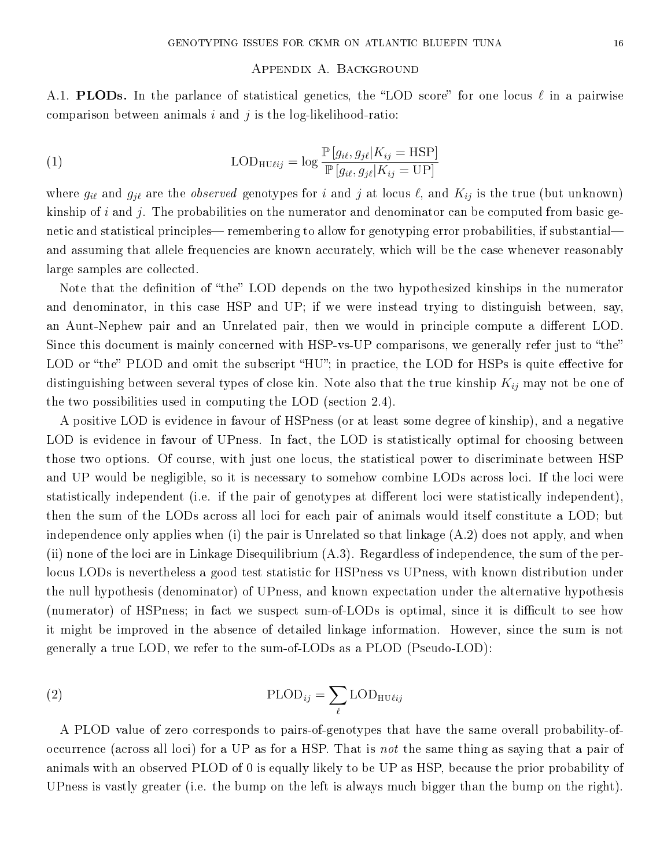### Appendix A. Background

A.1. **PLODs.** In the parlance of statistical genetics, the "LOD score" for one locus  $\ell$  in a pairwise comparison between animals  $i$  and  $j$  is the log-likelihood-ratio:

(1) 
$$
LOD_{HU\ell ij} = \log \frac{\mathbb{P}[g_{i\ell}, g_{j\ell}|K_{ij} = \text{HSP}]}{\mathbb{P}[g_{i\ell}, g_{j\ell}|K_{ij} = \text{UP}]}
$$

where  $g_{i\ell}$  and  $g_{j\ell}$  are the *observed* genotypes for i and j at locus  $\ell$ , and  $K_{ij}$  is the true (but unknown) kinship of i and j. The probabilities on the numerator and denominator can be computed from basic genetic and statistical principles— remembering to allow for genotyping error probabilities, if substantial and assuming that allele frequencies are known accurately, which will be the case whenever reasonably large samples are collected.

Note that the definition of "the" LOD depends on the two hypothesized kinships in the numerator and denominator, in this case HSP and UP; if we were instead trying to distinguish between, say, an Aunt-Nephew pair and an Unrelated pair, then we would in principle compute a different LOD. Since this document is mainly concerned with HSP-vs-UP comparisons, we generally refer just to "the" LOD or "the" PLOD and omit the subscript "HU"; in practice, the LOD for HSPs is quite effective for distinguishing between several types of close kin. Note also that the true kinship  $K_{ij}$  may not be one of the two possibilities used in computing the LOD (section 2.4).

A positive LOD is evidence in favour of HSPness (or at least some degree of kinship), and a negative LOD is evidence in favour of UPness. In fact, the LOD is statistically optimal for choosing between those two options. Of course, with just one locus, the statistical power to discriminate between HSP and UP would be negligible, so it is necessary to somehow combine LODs across loci. If the loci were statistically independent (i.e. if the pair of genotypes at different loci were statistically independent), then the sum of the LODs across all loci for each pair of animals would itself constitute a LOD; but independence only applies when (i) the pair is Unrelated so that linkage (A.2) does not apply, and when (ii) none of the loci are in Linkage Disequilibrium (A.3). Regardless of independence, the sum of the perlocus LODs is nevertheless a good test statistic for HSPness vs UPness, with known distribution under the null hypothesis (denominator) of UPness, and known expectation under the alternative hypothesis (numerator) of HSPness; in fact we suspect sum-of-LODs is optimal, since it is difficult to see how it might be improved in the absence of detailed linkage information. However, since the sum is not generally a true LOD, we refer to the sum-of-LODs as a PLOD (Pseudo-LOD):

(2) 
$$
\text{PLOD}_{ij} = \sum_{\ell} \text{LOD}_{\text{HU}\ell ij}
$$

A PLOD value of zero corresponds to pairs-of-genotypes that have the same overall probability-ofoccurrence (across all loci) for a UP as for a HSP. That is not the same thing as saying that a pair of animals with an observed PLOD of 0 is equally likely to be UP as HSP, because the prior probability of UPness is vastly greater (i.e. the bump on the left is always much bigger than the bump on the right).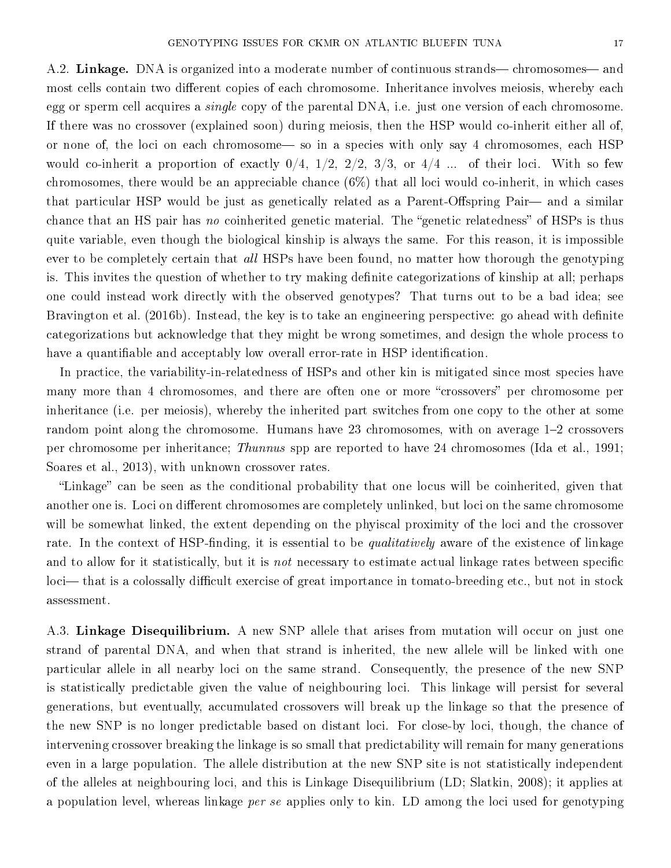A.2. Linkage. DNA is organized into a moderate number of continuous strands— chromosomes— and most cells contain two different copies of each chromosome. Inheritance involves meiosis, whereby each egg or sperm cell acquires a *single* copy of the parental DNA, i.e. just one version of each chromosome. If there was no crossover (explained soon) during meiosis, then the HSP would co-inherit either all of, or none of, the loci on each chromosome— so in a species with only say 4 chromosomes, each HSP would co-inherit a proportion of exactly  $0/4$ ,  $1/2$ ,  $2/2$ ,  $3/3$ , or  $4/4$  ... of their loci. With so few chromosomes, there would be an appreciable chance  $(6\%)$  that all loci would co-inherit, in which cases that particular HSP would be just as genetically related as a Parent-Offspring Pair—and a similar chance that an HS pair has no coinherited genetic material. The "genetic relatedness" of HSPs is thus quite variable, even though the biological kinship is always the same. For this reason, it is impossible ever to be completely certain that all HSPs have been found, no matter how thorough the genotyping is. This invites the question of whether to try making definite categorizations of kinship at all; perhaps one could instead work directly with the observed genotypes? That turns out to be a bad idea; see Bravington et al. (2016b). Instead, the key is to take an engineering perspective: go ahead with definite categorizations but acknowledge that they might be wrong sometimes, and design the whole process to have a quantifiable and acceptably low overall error-rate in HSP identification.

In practice, the variability-in-relatedness of HSPs and other kin is mitigated since most species have many more than 4 chromosomes, and there are often one or more "crossovers" per chromosome per inheritance (i.e. per meiosis), whereby the inherited part switches from one copy to the other at some random point along the chromosome. Humans have 23 chromosomes, with on average  $1-2$  crossovers per chromosome per inheritance; Thunnus spp are reported to have 24 chromosomes (Ida et al., 1991; Soares et al., 2013), with unknown crossover rates.

"Linkage" can be seen as the conditional probability that one locus will be coinherited, given that another one is. Loci on different chromosomes are completely unlinked, but loci on the same chromosome will be somewhat linked, the extent depending on the phyiscal proximity of the loci and the crossover rate. In the context of HSP-finding, it is essential to be *qualitatively* aware of the existence of linkage and to allow for it statistically, but it is *not* necessary to estimate actual linkage rates between specific loci— that is a colossally difficult exercise of great importance in tomato-breeding etc., but not in stock assessment.

A.3. Linkage Disequilibrium. A new SNP allele that arises from mutation will occur on just one strand of parental DNA, and when that strand is inherited, the new allele will be linked with one particular allele in all nearby loci on the same strand. Consequently, the presence of the new SNP is statistically predictable given the value of neighbouring loci. This linkage will persist for several generations, but eventually, accumulated crossovers will break up the linkage so that the presence of the new SNP is no longer predictable based on distant loci. For close-by loci, though, the chance of intervening crossover breaking the linkage is so small that predictability will remain for many generations even in a large population. The allele distribution at the new SNP site is not statistically independent of the alleles at neighbouring loci, and this is Linkage Disequilibrium (LD; Slatkin, 2008); it applies at a population level, whereas linkage *per se* applies only to kin. LD among the loci used for genotyping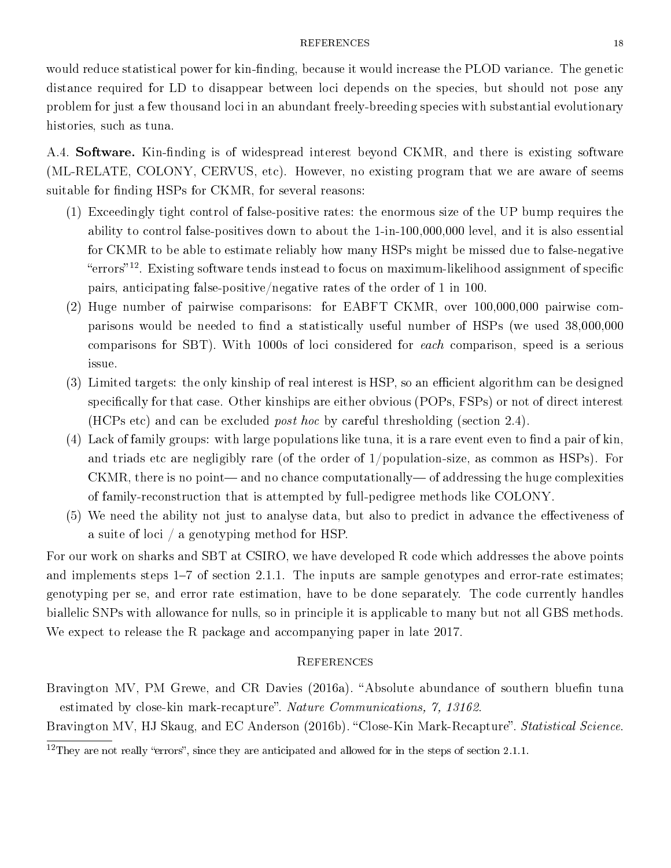#### REFERENCES 18

would reduce statistical power for kin-finding, because it would increase the PLOD variance. The genetic distance required for LD to disappear between loci depends on the species, but should not pose any problem for just a few thousand loci in an abundant freely-breeding species with substantial evolutionary histories, such as tuna.

A.4. **Software.** Kin-finding is of widespread interest beyond CKMR, and there is existing software (ML-RELATE, COLONY, CERVUS, etc). However, no existing program that we are aware of seems suitable for finding HSPs for CKMR, for several reasons:

- (1) Exceedingly tight control of false-positive rates: the enormous size of the UP bump requires the ability to control false-positives down to about the 1-in-100,000,000 level, and it is also essential for CKMR to be able to estimate reliably how many HSPs might be missed due to false-negative "errors"<sup>12</sup>. Existing software tends instead to focus on maximum-likelihood assignment of specific pairs, anticipating false-positive/negative rates of the order of 1 in 100.
- (2) Huge number of pairwise comparisons: for EABFT CKMR, over 100,000,000 pairwise comparisons would be needed to find a statistically useful number of HSPs (we used 38,000,000 comparisons for SBT). With 1000s of loci considered for each comparison, speed is a serious issue.
- $(3)$  Limited targets: the only kinship of real interest is HSP, so an efficient algorithm can be designed specifically for that case. Other kinships are either obvious (POPs, FSPs) or not of direct interest (HCPs etc) and can be excluded post hoc by careful thresholding (section 2.4).
- $(4)$  Lack of family groups: with large populations like tuna, it is a rare event even to find a pair of kin, and triads etc are negligibly rare (of the order of  $1/population-size$ , as common as HSPs). For  $CKMR$ , there is no point—and no chance computationally—of addressing the huge complexities of family-reconstruction that is attempted by full-pedigree methods like COLONY.
- (5) We need the ability not just to analyse data, but also to predict in advance the effectiveness of a suite of loci / a genotyping method for HSP.

For our work on sharks and SBT at CSIRO, we have developed R code which addresses the above points and implements steps  $1-7$  of section 2.1.1. The inputs are sample genotypes and error-rate estimates; genotyping per se, and error rate estimation, have to be done separately. The code currently handles biallelic SNPs with allowance for nulls, so in principle it is applicable to many but not all GBS methods. We expect to release the R package and accompanying paper in late 2017.

#### **REFERENCES**

Bravington MV, PM Grewe, and CR Davies (2016a). "Absolute abundance of southern bluefin tuna estimated by close-kin mark-recapture". Nature Communications, 7, 13162.

Bravington MV, HJ Skaug, and EC Anderson (2016b). "Close-Kin Mark-Recapture". *Statistical Science*.

 $12$ They are not really "errors", since they are anticipated and allowed for in the steps of section 2.1.1.